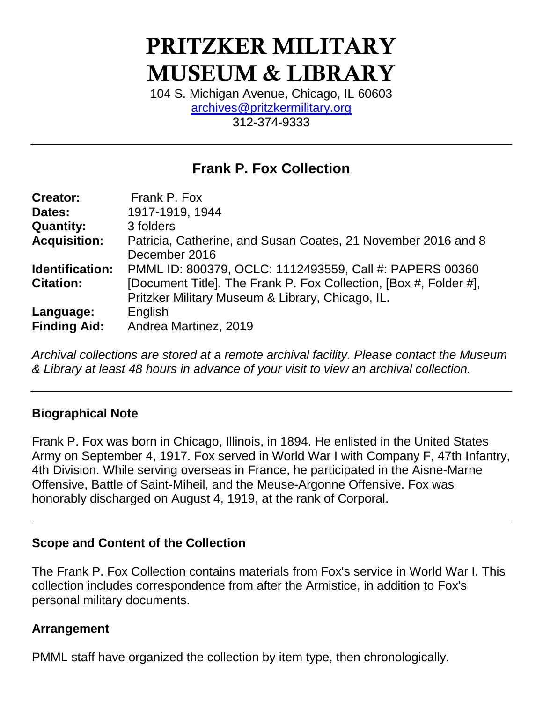# PRITZKER MILITARY MUSEUM & LIBRARY

104 S. Michigan Avenue, Chicago, IL 60603 [archives@pritzkermilitary.org](mailto:archives@pritzkermilitary.org) 312-374-9333

## **Frank P. Fox Collection**

| <b>Creator:</b>     | Frank P. Fox                                                                                                          |
|---------------------|-----------------------------------------------------------------------------------------------------------------------|
| Dates:              | 1917-1919, 1944                                                                                                       |
| <b>Quantity:</b>    | 3 folders                                                                                                             |
| <b>Acquisition:</b> | Patricia, Catherine, and Susan Coates, 21 November 2016 and 8<br>December 2016                                        |
| Identification:     | PMML ID: 800379, OCLC: 1112493559, Call #: PAPERS 00360                                                               |
| <b>Citation:</b>    | [Document Title]. The Frank P. Fox Collection, [Box #, Folder #],<br>Pritzker Military Museum & Library, Chicago, IL. |
| Language:           | English                                                                                                               |
| <b>Finding Aid:</b> | Andrea Martinez, 2019                                                                                                 |

*Archival collections are stored at a remote archival facility. Please contact the Museum & Library at least 48 hours in advance of your visit to view an archival collection.*

### **Biographical Note**

Frank P. Fox was born in Chicago, Illinois, in 1894. He enlisted in the United States Army on September 4, 1917. Fox served in World War I with Company F, 47th Infantry, 4th Division. While serving overseas in France, he participated in the Aisne-Marne Offensive, Battle of Saint-Miheil, and the Meuse-Argonne Offensive. Fox was honorably discharged on August 4, 1919, at the rank of Corporal.

#### **Scope and Content of the Collection**

The Frank P. Fox Collection contains materials from Fox's service in World War I. This collection includes correspondence from after the Armistice, in addition to Fox's personal military documents.

#### **Arrangement**

PMML staff have organized the collection by item type, then chronologically.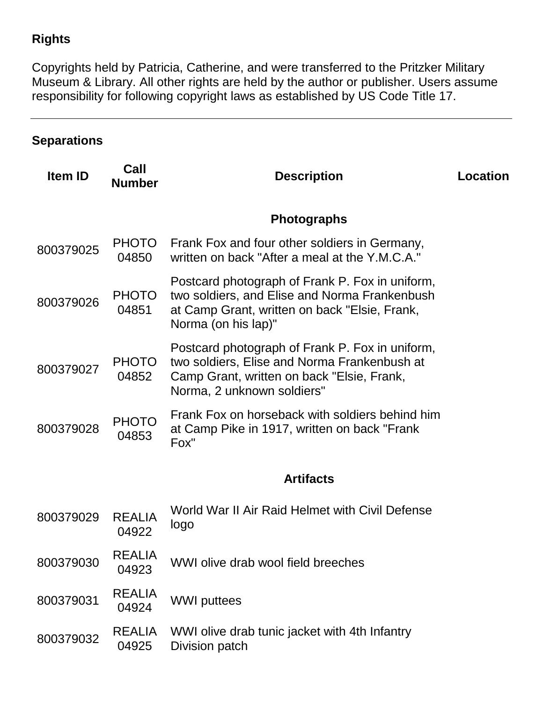## **Rights**

Copyrights held by Patricia, Catherine, and were transferred to the Pritzker Military Museum & Library. All other rights are held by the author or publisher. Users assume responsibility for following copyright laws as established by US Code Title 17.

## **Separations**

| Call<br><b>Number</b>  | <b>Description</b>                                                                                                                                                          | <b>Location</b> |
|------------------------|-----------------------------------------------------------------------------------------------------------------------------------------------------------------------------|-----------------|
|                        | <b>Photographs</b>                                                                                                                                                          |                 |
| <b>PHOTO</b><br>04850  | Frank Fox and four other soldiers in Germany,<br>written on back "After a meal at the Y.M.C.A."                                                                             |                 |
| <b>PHOTO</b><br>04851  | Postcard photograph of Frank P. Fox in uniform,<br>two soldiers, and Elise and Norma Frankenbush<br>at Camp Grant, written on back "Elsie, Frank,<br>Norma (on his lap)"    |                 |
| <b>PHOTO</b><br>04852  | Postcard photograph of Frank P. Fox in uniform,<br>two soldiers, Elise and Norma Frankenbush at<br>Camp Grant, written on back "Elsie, Frank,<br>Norma, 2 unknown soldiers" |                 |
| <b>PHOTO</b><br>04853  | Frank Fox on horseback with soldiers behind him<br>at Camp Pike in 1917, written on back "Frank"<br>Fox"                                                                    |                 |
|                        | <b>Artifacts</b>                                                                                                                                                            |                 |
| <b>REALIA</b><br>04922 | World War II Air Raid Helmet with Civil Defense<br>logo                                                                                                                     |                 |
| <b>REALIA</b><br>04923 | WWI olive drab wool field breeches                                                                                                                                          |                 |
| <b>REALIA</b><br>04924 | <b>WWI</b> puttees                                                                                                                                                          |                 |
| <b>REALIA</b><br>04925 | WWI olive drab tunic jacket with 4th Infantry<br>Division patch                                                                                                             |                 |
|                        |                                                                                                                                                                             |                 |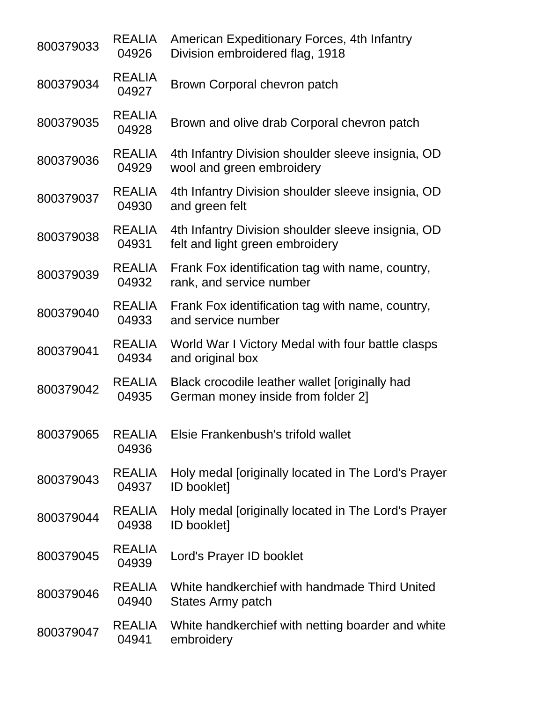| 800379033 | <b>REALIA</b><br>04926 | American Expeditionary Forces, 4th Infantry<br>Division embroidered flag, 1918        |
|-----------|------------------------|---------------------------------------------------------------------------------------|
| 800379034 | <b>REALIA</b><br>04927 | Brown Corporal chevron patch                                                          |
| 800379035 | <b>REALIA</b><br>04928 | Brown and olive drab Corporal chevron patch                                           |
| 800379036 | <b>REALIA</b><br>04929 | 4th Infantry Division shoulder sleeve insignia, OD<br>wool and green embroidery       |
| 800379037 | <b>REALIA</b><br>04930 | 4th Infantry Division shoulder sleeve insignia, OD<br>and green felt                  |
| 800379038 | <b>REALIA</b><br>04931 | 4th Infantry Division shoulder sleeve insignia, OD<br>felt and light green embroidery |
| 800379039 | <b>REALIA</b><br>04932 | Frank Fox identification tag with name, country,<br>rank, and service number          |
| 800379040 | <b>REALIA</b><br>04933 | Frank Fox identification tag with name, country,<br>and service number                |
| 800379041 | <b>REALIA</b><br>04934 | World War I Victory Medal with four battle clasps<br>and original box                 |
| 800379042 | <b>REALIA</b><br>04935 | Black crocodile leather wallet [originally had<br>German money inside from folder 2]  |
| 800379065 | <b>REALIA</b><br>04936 | Elsie Frankenbush's trifold wallet                                                    |
| 800379043 | <b>REALIA</b><br>04937 | Holy medal [originally located in The Lord's Prayer<br><b>ID booklet]</b>             |
| 800379044 | <b>REALIA</b><br>04938 | Holy medal [originally located in The Lord's Prayer<br><b>ID booklet]</b>             |
| 800379045 | <b>REALIA</b><br>04939 | Lord's Prayer ID booklet                                                              |
| 800379046 | <b>REALIA</b><br>04940 | White handkerchief with handmade Third United<br>States Army patch                    |
| 800379047 | <b>REALIA</b><br>04941 | White handkerchief with netting boarder and white<br>embroidery                       |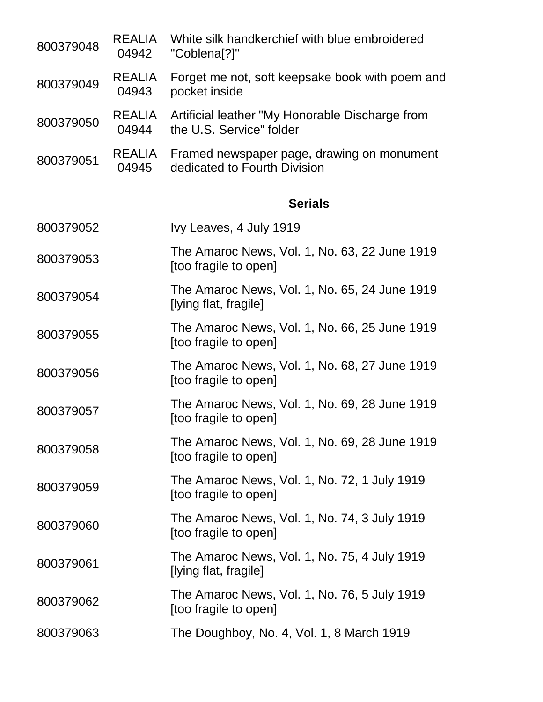| 800379048 | <b>REALIA</b><br>04942 | White silk handkerchief with blue embroidered<br>"Coblena[?]"               |  |
|-----------|------------------------|-----------------------------------------------------------------------------|--|
| 800379049 | <b>REALIA</b><br>04943 | Forget me not, soft keepsake book with poem and<br>pocket inside            |  |
| 800379050 | <b>REALIA</b><br>04944 | Artificial leather "My Honorable Discharge from<br>the U.S. Service" folder |  |
| 800379051 | <b>REALIA</b><br>04945 | Framed newspaper page, drawing on monument<br>dedicated to Fourth Division  |  |
|           |                        | <b>Serials</b>                                                              |  |
| 800379052 |                        | Ivy Leaves, 4 July 1919                                                     |  |
| 800379053 |                        | The Amaroc News, Vol. 1, No. 63, 22 June 1919<br>[too fragile to open]      |  |
| 800379054 |                        | The Amaroc News, Vol. 1, No. 65, 24 June 1919<br>[lying flat, fragile]      |  |
| 800379055 |                        | The Amaroc News, Vol. 1, No. 66, 25 June 1919<br>[too fragile to open]      |  |
| 800379056 |                        | The Amaroc News, Vol. 1, No. 68, 27 June 1919<br>[too fragile to open]      |  |
| 800379057 |                        | The Amaroc News, Vol. 1, No. 69, 28 June 1919<br>[too fragile to open]      |  |
| 800379058 |                        | The Amaroc News, Vol. 1, No. 69, 28 June 1919<br>[too fragile to open]      |  |
| 800379059 |                        | The Amaroc News, Vol. 1, No. 72, 1 July 1919<br>[too fragile to open]       |  |
| 800379060 |                        | The Amaroc News, Vol. 1, No. 74, 3 July 1919<br>[too fragile to open]       |  |
| 800379061 |                        | The Amaroc News, Vol. 1, No. 75, 4 July 1919<br>[lying flat, fragile]       |  |
| 800379062 |                        | The Amaroc News, Vol. 1, No. 76, 5 July 1919<br>[too fragile to open]       |  |
| 800379063 |                        | The Doughboy, No. 4, Vol. 1, 8 March 1919                                   |  |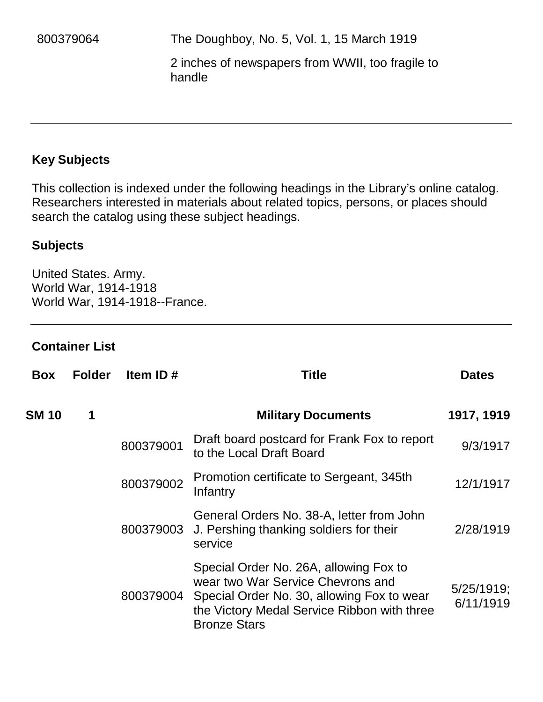2 inches of newspapers from WWII, too fragile to handle

## **Key Subjects**

This collection is indexed under the following headings in the Library's online catalog. Researchers interested in materials about related topics, persons, or places should search the catalog using these subject headings.

#### **Subjects**

United States. Army. World War, 1914-1918 World War, 1914-1918--France.

#### **Container List**

| <b>Box</b>   | <b>Folder</b> | Item ID#  | <b>Title</b>                                                                                                                                                                                    | <b>Dates</b>               |
|--------------|---------------|-----------|-------------------------------------------------------------------------------------------------------------------------------------------------------------------------------------------------|----------------------------|
| <b>SM 10</b> | 1             |           | <b>Military Documents</b>                                                                                                                                                                       | 1917, 1919                 |
|              |               | 800379001 | Draft board postcard for Frank Fox to report<br>to the Local Draft Board                                                                                                                        | 9/3/1917                   |
|              |               | 800379002 | Promotion certificate to Sergeant, 345th<br>Infantry                                                                                                                                            | 12/1/1917                  |
|              |               |           | General Orders No. 38-A, letter from John<br>800379003 J. Pershing thanking soldiers for their<br>service                                                                                       | 2/28/1919                  |
|              |               | 800379004 | Special Order No. 26A, allowing Fox to<br>wear two War Service Chevrons and<br>Special Order No. 30, allowing Fox to wear<br>the Victory Medal Service Ribbon with three<br><b>Bronze Stars</b> | $5/25/1919$ ;<br>6/11/1919 |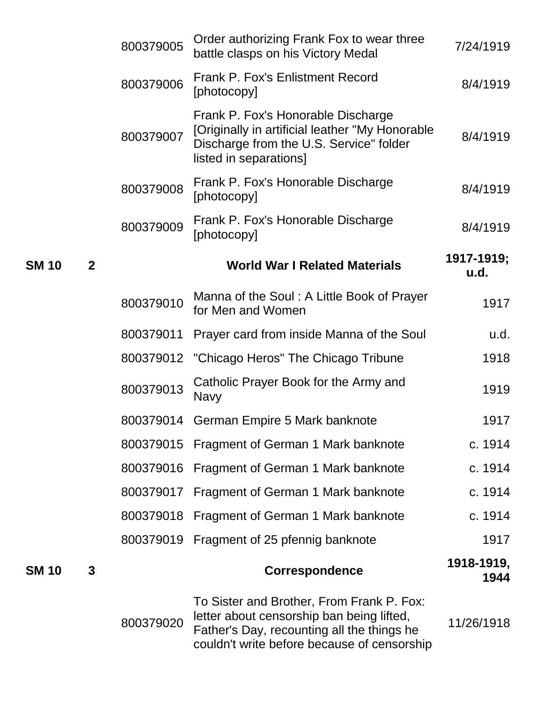|              |                | 800379005 | Order authorizing Frank Fox to wear three<br>battle clasps on his Victory Medal                                                                                                     | 7/24/1919          |
|--------------|----------------|-----------|-------------------------------------------------------------------------------------------------------------------------------------------------------------------------------------|--------------------|
|              |                | 800379006 | <b>Frank P. Fox's Enlistment Record</b><br>[photocopy]                                                                                                                              | 8/4/1919           |
|              |                | 800379007 | Frank P. Fox's Honorable Discharge<br>[Originally in artificial leather "My Honorable<br>Discharge from the U.S. Service" folder<br>listed in separations]                          | 8/4/1919           |
|              |                | 800379008 | Frank P. Fox's Honorable Discharge<br>[photocopy]                                                                                                                                   | 8/4/1919           |
|              |                | 800379009 | Frank P. Fox's Honorable Discharge<br>[photocopy]                                                                                                                                   | 8/4/1919           |
| <b>SM 10</b> | $\overline{2}$ |           | <b>World War I Related Materials</b>                                                                                                                                                | 1917-1919;<br>u.d. |
|              |                | 800379010 | Manna of the Soul: A Little Book of Prayer<br>for Men and Women                                                                                                                     | 1917               |
|              |                | 800379011 | Prayer card from inside Manna of the Soul                                                                                                                                           | u.d.               |
|              |                | 800379012 | "Chicago Heros" The Chicago Tribune                                                                                                                                                 | 1918               |
|              |                | 800379013 | Catholic Prayer Book for the Army and<br><b>Navy</b>                                                                                                                                | 1919               |
|              |                | 800379014 | German Empire 5 Mark banknote                                                                                                                                                       | 1917               |
|              |                | 800379015 | Fragment of German 1 Mark banknote                                                                                                                                                  | c. 1914            |
|              |                | 800379016 | Fragment of German 1 Mark banknote                                                                                                                                                  | c. 1914            |
|              |                | 800379017 | Fragment of German 1 Mark banknote                                                                                                                                                  | c. 1914            |
|              |                | 800379018 | Fragment of German 1 Mark banknote                                                                                                                                                  | c. 1914            |
|              |                | 800379019 | Fragment of 25 pfennig banknote                                                                                                                                                     | 1917               |
| SM 10        | 3              |           | <b>Correspondence</b>                                                                                                                                                               | 1918-1919,<br>1944 |
|              |                | 800379020 | To Sister and Brother, From Frank P. Fox:<br>letter about censorship ban being lifted,<br>Father's Day, recounting all the things he<br>couldn't write before because of censorship | 11/26/1918         |